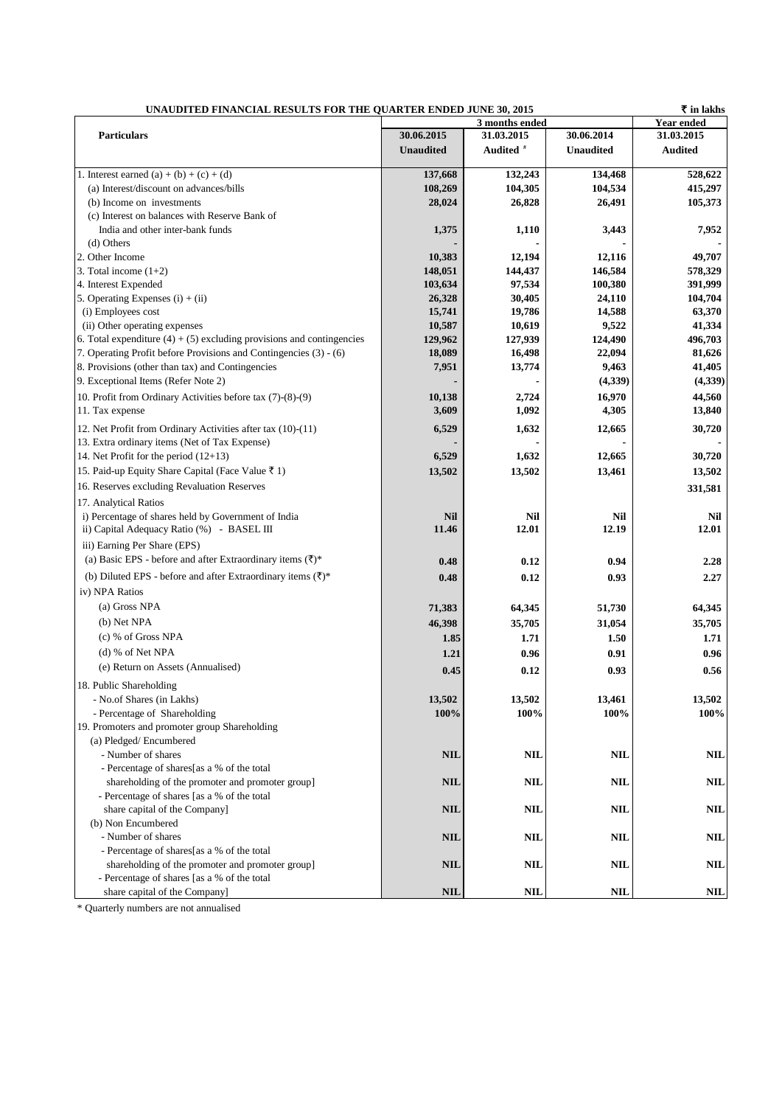| ₹ in lakhs<br>UNAUDITED FINANCIAL RESULTS FOR THE QUARTER ENDED JUNE 30, 2015 |                  |                      |                     |                |  |  |
|-------------------------------------------------------------------------------|------------------|----------------------|---------------------|----------------|--|--|
|                                                                               |                  | 3 months ended       | <b>Year ended</b>   |                |  |  |
| <b>Particulars</b>                                                            | 30.06.2015       | 31.03.2015           | 30.06.2014          | 31.03.2015     |  |  |
|                                                                               | <b>Unaudited</b> | Audited <sup>#</sup> | <b>Unaudited</b>    | <b>Audited</b> |  |  |
| 1. Interest earned (a) + (b) + (c) + (d)                                      | 137,668          | 132,243              | 134,468             | 528,622        |  |  |
| (a) Interest/discount on advances/bills                                       | 108,269          | 104,305              | 104,534             | 415,297        |  |  |
| (b) Income on investments                                                     | 28,024           | 26,828               | 26,491              | 105,373        |  |  |
| (c) Interest on balances with Reserve Bank of                                 |                  |                      |                     |                |  |  |
| India and other inter-bank funds                                              | 1,375            | 1,110                | 3,443               | 7,952          |  |  |
| (d) Others                                                                    |                  |                      |                     |                |  |  |
| 2. Other Income                                                               | 10,383           | 12,194               | 12,116              | 49,707         |  |  |
| 3. Total income $(1+2)$                                                       | 148,051          | 144,437              | 146,584             | 578,329        |  |  |
| 4. Interest Expended                                                          | 103,634          | 97,534               | 100,380             | 391,999        |  |  |
| 5. Operating Expenses $(i) + (ii)$                                            | 26,328           | 30,405               | 24,110              | 104,704        |  |  |
| (i) Employees cost                                                            | 15,741           | 19,786               | 14,588              | 63,370         |  |  |
| (ii) Other operating expenses                                                 | 10,587           | 10,619               | 9,522               | 41,334         |  |  |
| 6. Total expenditure $(4) + (5)$ excluding provisions and contingencies       | 129,962          | 127,939              | 124,490             | 496,703        |  |  |
| 7. Operating Profit before Provisions and Contingencies (3) - (6)             | 18,089           | 16,498               | 22,094              | 81,626         |  |  |
| 8. Provisions (other than tax) and Contingencies                              | 7,951            | 13,774               | 9,463               | 41,405         |  |  |
| 9. Exceptional Items (Refer Note 2)                                           |                  |                      | (4, 339)            | (4,339)        |  |  |
| 10. Profit from Ordinary Activities before tax (7)-(8)-(9)                    | 10,138           | 2,724                | 16,970              | 44,560         |  |  |
| 11. Tax expense                                                               | 3,609            | 1,092                | 4,305               | 13,840         |  |  |
| 12. Net Profit from Ordinary Activities after tax (10)-(11)                   | 6,529            | 1,632                | 12,665              | 30,720         |  |  |
| 13. Extra ordinary items (Net of Tax Expense)                                 |                  |                      |                     |                |  |  |
| 14. Net Profit for the period $(12+13)$                                       | 6,529            | 1,632                | 12,665              | 30,720         |  |  |
| 15. Paid-up Equity Share Capital (Face Value ₹ 1)                             | 13,502           | 13,502               | 13,461              | 13,502         |  |  |
| 16. Reserves excluding Revaluation Reserves                                   |                  |                      |                     |                |  |  |
|                                                                               |                  |                      |                     | 331,581        |  |  |
| 17. Analytical Ratios                                                         |                  |                      |                     |                |  |  |
| i) Percentage of shares held by Government of India                           | <b>Nil</b>       | <b>Nil</b><br>12.01  | <b>Nil</b><br>12.19 | Nil<br>12.01   |  |  |
| ii) Capital Adequacy Ratio (%) - BASEL III                                    | 11.46            |                      |                     |                |  |  |
| iii) Earning Per Share (EPS)                                                  |                  |                      |                     |                |  |  |
| (a) Basic EPS - before and after Extraordinary items $(\overline{\tau})^*$    | 0.48             | 0.12                 | 0.94                | 2.28           |  |  |
| (b) Diluted EPS - before and after Extraordinary items $(\overline{\tau})^*$  | 0.48             | 0.12                 | 0.93                | 2.27           |  |  |
| iv) NPA Ratios                                                                |                  |                      |                     |                |  |  |
| (a) Gross NPA                                                                 | 71,383           | 64,345               | 51,730              | 64,345         |  |  |
| (b) Net NPA                                                                   | 46,398           | 35,705               | 31,054              | 35,705         |  |  |
| $(c)$ % of Gross NPA                                                          | 1.85             | 1.71                 | 1.50                | 1.71           |  |  |
| (d) % of Net NPA                                                              | 1.21             | 0.96                 | 0.91                | 0.96           |  |  |
| (e) Return on Assets (Annualised)                                             | 0.45             | 0.12                 | 0.93                | 0.56           |  |  |
| 18. Public Shareholding                                                       |                  |                      |                     |                |  |  |
|                                                                               | 13,502           |                      | 13,461              |                |  |  |
| - No.of Shares (in Lakhs)<br>- Percentage of Shareholding                     | 100%             | 13,502<br>100%       | 100%                | 13,502<br>100% |  |  |
| 19. Promoters and promoter group Shareholding                                 |                  |                      |                     |                |  |  |
| (a) Pledged/Encumbered                                                        |                  |                      |                     |                |  |  |
| - Number of shares                                                            | <b>NIL</b>       | NIL                  | <b>NIL</b>          | <b>NIL</b>     |  |  |
| - Percentage of shares[as a % of the total                                    |                  |                      |                     |                |  |  |
| shareholding of the promoter and promoter group]                              | <b>NIL</b>       | NIL                  | <b>NIL</b>          | NIL            |  |  |
| - Percentage of shares [as a % of the total                                   |                  |                      |                     |                |  |  |
| share capital of the Company]                                                 | <b>NIL</b>       | NIL                  | NIL                 | NIL            |  |  |
| (b) Non Encumbered                                                            |                  |                      |                     |                |  |  |
| - Number of shares                                                            | <b>NIL</b>       | NIL                  | <b>NIL</b>          | NIL            |  |  |
| - Percentage of shares[as a % of the total                                    |                  |                      |                     |                |  |  |
| shareholding of the promoter and promoter group]                              | <b>NIL</b>       | NIL                  | <b>NIL</b>          | NIL            |  |  |
| - Percentage of shares [as a % of the total                                   |                  |                      |                     |                |  |  |
| share capital of the Company]                                                 | <b>NIL</b>       | NIL                  | <b>NIL</b>          | NIL            |  |  |

\* Quarterly numbers are not annualised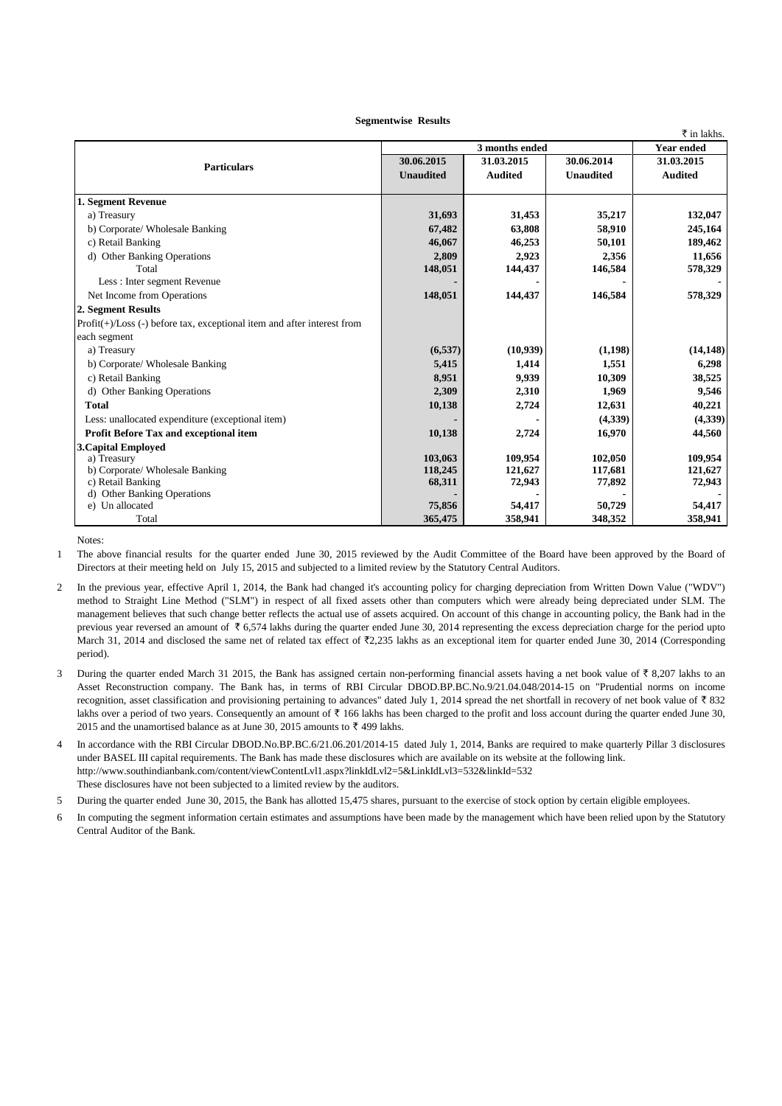## **Segmentwise Results**

|                                                                            |                  |                |                  | ₹ in lakhs.       |
|----------------------------------------------------------------------------|------------------|----------------|------------------|-------------------|
|                                                                            | 3 months ended   |                |                  | <b>Year ended</b> |
| <b>Particulars</b>                                                         | 30.06.2015       | 31.03.2015     | 30.06.2014       | 31.03.2015        |
|                                                                            | <b>Unaudited</b> | <b>Audited</b> | <b>Unaudited</b> | <b>Audited</b>    |
|                                                                            |                  |                |                  |                   |
| 1. Segment Revenue                                                         |                  |                |                  |                   |
| a) Treasury                                                                | 31,693           | 31,453         | 35,217           | 132,047           |
| b) Corporate/ Wholesale Banking                                            | 67,482           | 63,808         | 58,910           | 245,164           |
| c) Retail Banking                                                          | 46,067           | 46,253         | 50,101           | 189,462           |
| d) Other Banking Operations                                                | 2.809            | 2.923          | 2.356            | 11.656            |
| Total                                                                      | 148,051          | 144,437        | 146,584          | 578,329           |
| Less: Inter segment Revenue                                                |                  |                |                  |                   |
| Net Income from Operations                                                 | 148,051          | 144,437        | 146,584          | 578,329           |
| 2. Segment Results                                                         |                  |                |                  |                   |
| $Profit(+) / Loss(-) before tax, exceptional item and after interest from$ |                  |                |                  |                   |
| each segment                                                               |                  |                |                  |                   |
| a) Treasury                                                                | (6, 537)         | (10, 939)      | (1,198)          | (14, 148)         |
| b) Corporate/ Wholesale Banking                                            | 5,415            | 1,414          | 1,551            | 6,298             |
| c) Retail Banking                                                          | 8,951            | 9,939          | 10,309           | 38,525            |
| d) Other Banking Operations                                                | 2,309            | 2,310          | 1,969            | 9,546             |
| <b>Total</b>                                                               | 10,138           | 2,724          | 12,631           | 40,221            |
| Less: unallocated expenditure (exceptional item)                           |                  |                | (4,339)          | (4,339)           |
| Profit Before Tax and exceptional item                                     | 10,138           | 2,724          | 16,970           | 44,560            |
| <b>3. Capital Employed</b>                                                 |                  |                |                  |                   |
| a) Treasury                                                                | 103,063          | 109.954        | 102,050          | 109,954           |
| b) Corporate/ Wholesale Banking                                            | 118,245          | 121,627        | 117,681          | 121,627           |
| c) Retail Banking                                                          | 68,311           | 72,943         | 77,892           | 72,943            |
| d) Other Banking Operations<br>e) Un allocated                             | 75,856           | 54,417         | 50,729           | 54,417            |
|                                                                            |                  |                |                  |                   |
| Total                                                                      | 365,475          | 358,941        | 348,352          | 358,941           |

Notes:

1 The above financial results for the quarter ended June 30, 2015 reviewed by the Audit Committee of the Board have been approved by the Board of Directors at their meeting held on July 15, 2015 and subjected to a limited review by the Statutory Central Auditors.

- $\mathfrak{D}$ In the previous year, effective April 1, 2014, the Bank had changed it's accounting policy for charging depreciation from Written Down Value ("WDV") method to Straight Line Method ("SLM") in respect of all fixed assets other than computers which were already being depreciated under SLM. The management believes that such change better reflects the actual use of assets acquired. On account of this change in accounting policy, the Bank had in the previous year reversed an amount of  $\bar{\tau}$  6,574 lakhs during the quarter ended June 30, 2014 representing the excess depreciation charge for the period upto March 31, 2014 and disclosed the same net of related tax effect of ₹2,235 lakhs as an exceptional item for quarter ended June 30, 2014 (Corresponding period).
- 3 During the quarter ended March 31 2015, the Bank has assigned certain non-performing financial assets having a net book value of  $\bar{\tau}$  8,207 lakhs to an Asset Reconstruction company. The Bank has, in terms of RBI Circular DBOD.BP.BC.No.9/21.04.048/2014-15 on "Prudential norms on income recognition, asset classification and provisioning pertaining to advances" dated July 1, 2014 spread the net shortfall in recovery of net book value of  $\bar{\tau}$  832 lakhs over a period of two years. Consequently an amount of  $\bar{\tau}$  166 lakhs has been charged to the profit and loss account during the quarter ended June 30, 2015 and the unamortised balance as at June 30, 2015 amounts to  $\bar{x}$  499 lakhs.
- 4 In accordance with the RBI Circular DBOD.No.BP.BC.6/21.06.201/2014-15 dated July 1, 2014, Banks are required to make quarterly Pillar 3 disclosures under BASEL III capital requirements. The Bank has made these disclosures which are available on its website at the following link. http://www.southindianbank.com/content/viewContentLvl1.aspx?linkIdLvl2=5&LinkIdLvl3=532&linkId=532 These disclosures have not been subjected to a limited review by the auditors.

5 During the quarter ended June 30, 2015, the Bank has allotted 15,475 shares, pursuant to the exercise of stock option by certain eligible employees.

6 In computing the segment information certain estimates and assumptions have been made by the management which have been relied upon by the Statutory Central Auditor of the Bank.